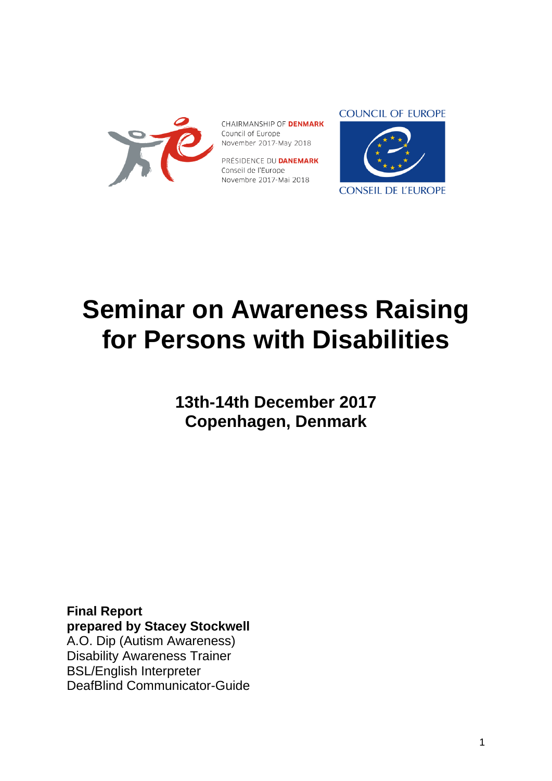

CHAIRMANSHIP OF **DENMARK** Council of Europe November 2017-May 2018

PRÉSIDENCE DU **DANEMARK** Conseil de l'Europe Novembre 2017-Mai 2018

#### **COUNCIL OF EUROPE**



# **Seminar on Awareness Raising for Persons with Disabilities**

**13th-14th December 2017 Copenhagen, Denmark**

**Final Report prepared by Stacey Stockwell**  A.O. Dip (Autism Awareness) Disability Awareness Trainer BSL/English Interpreter DeafBlind Communicator-Guide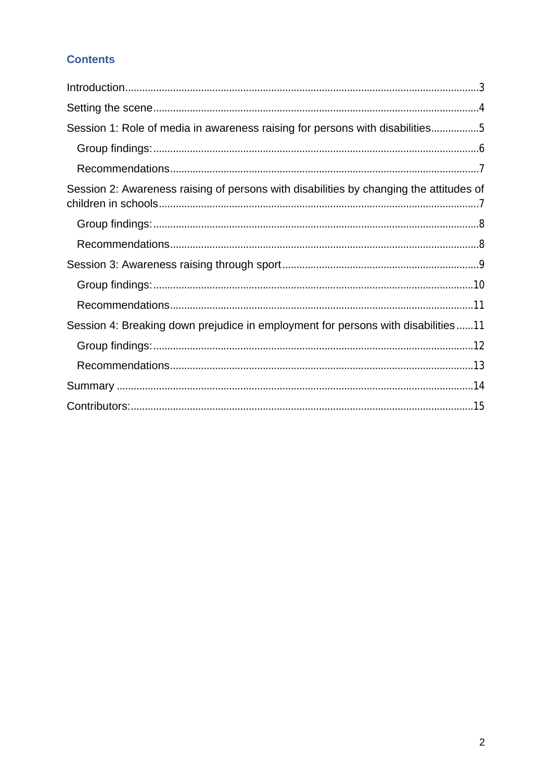# **Contents**

| Session 1: Role of media in awareness raising for persons with disabilities5           |
|----------------------------------------------------------------------------------------|
|                                                                                        |
|                                                                                        |
| Session 2: Awareness raising of persons with disabilities by changing the attitudes of |
|                                                                                        |
|                                                                                        |
|                                                                                        |
|                                                                                        |
|                                                                                        |
| Session 4: Breaking down prejudice in employment for persons with disabilities11       |
|                                                                                        |
|                                                                                        |
|                                                                                        |
|                                                                                        |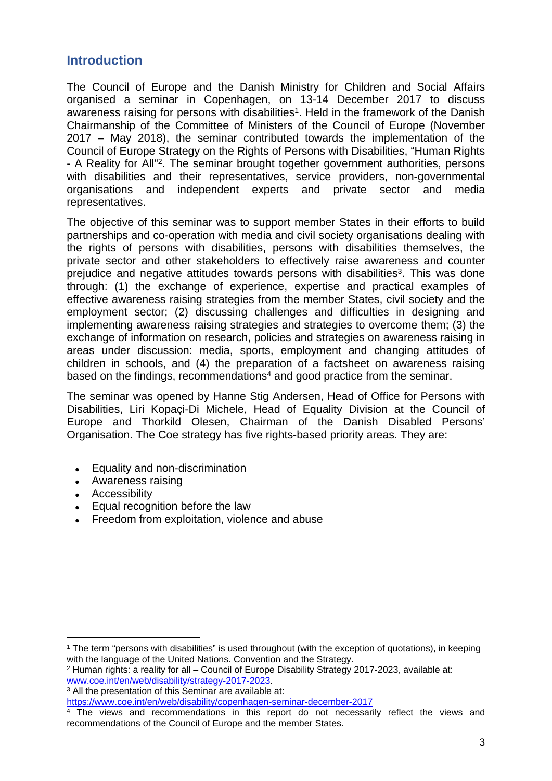# <span id="page-2-0"></span>**Introduction**

The Council of Europe and the Danish Ministry for Children and Social Affairs organised a seminar in Copenhagen, on 13-14 December 2017 to discuss awareness raising for persons with disabilities<sup>1</sup>. Held in the framework of the Danish Chairmanship of the Committee of Ministers of the Council of Europe (November 2017 – May 2018), the seminar contributed towards the implementation of the Council of Europe Strategy on the Rights of Persons with Disabilities, "Human Rights - A Reality for All<sup>"2</sup>. The seminar brought together government authorities, persons with disabilities and their representatives, service providers, non-governmental organisations and independent experts and private sector and media representatives.

The objective of this seminar was to support member States in their efforts to build partnerships and co-operation with media and civil society organisations dealing with the rights of persons with disabilities, persons with disabilities themselves, the private sector and other stakeholders to effectively raise awareness and counter prejudice and negative attitudes towards persons with disabilities<sup>3</sup>. This was done through: (1) the exchange of experience, expertise and practical examples of effective awareness raising strategies from the member States, civil society and the employment sector; (2) discussing challenges and difficulties in designing and implementing awareness raising strategies and strategies to overcome them; (3) the exchange of information on research, policies and strategies on awareness raising in areas under discussion: media, sports, employment and changing attitudes of children in schools, and (4) the preparation of a factsheet on awareness raising based on the findings, recommendations<sup>4</sup> and good practice from the seminar.

The seminar was opened by Hanne Stig Andersen, Head of Office for Persons with Disabilities, Liri Kopaçi-Di Michele, Head of Equality Division at the Council of Europe and Thorkild Olesen, Chairman of the Danish Disabled Persons' Organisation. The Coe strategy has five rights-based priority areas. They are:

- Equality and non-discrimination
- Awareness raising
- Accessibility
- Equal recognition before the law
- Freedom from exploitation, violence and abuse

<sup>1</sup> The term "persons with disabilities" is used throughout (with the exception of quotations), in keeping with the language of the United Nations. Convention and the Strategy.

<sup>&</sup>lt;sup>2</sup> Human rights: a reality for all – Council of Europe Disability Strategy 2017-2023, available at: [www.coe.int/en/web/disability/strategy-2017-2023.](http://www.coe.int/en/web/disability/strategy-2017-2023)

<sup>3</sup> All the presentation of this Seminar are available at:

<https://www.coe.int/en/web/disability/copenhagen-seminar-december-2017>

<sup>4</sup> The views and recommendations in this report do not necessarily reflect the views and recommendations of the Council of Europe and the member States.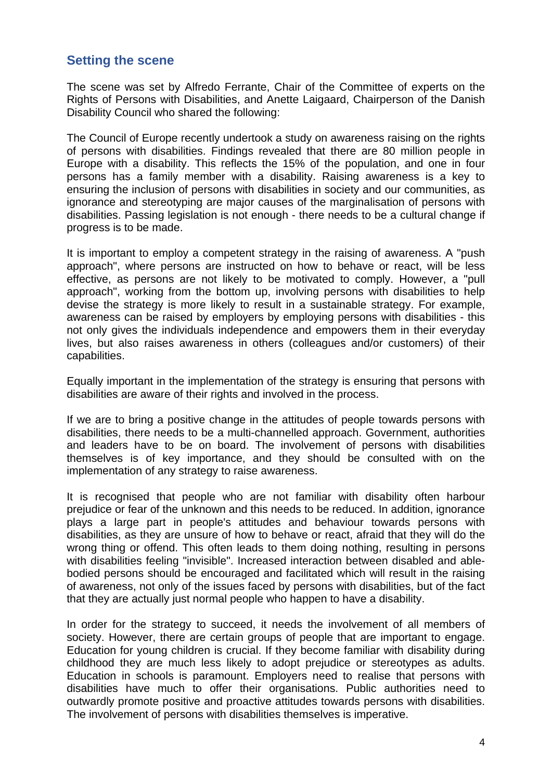# <span id="page-3-0"></span>**Setting the scene**

The scene was set by Alfredo Ferrante, Chair of the Committee of experts on the Rights of Persons with Disabilities, and Anette Laigaard, Chairperson of the Danish Disability Council who shared the following:

The Council of Europe recently undertook a study on awareness raising on the rights of persons with disabilities. Findings revealed that there are 80 million people in Europe with a disability. This reflects the 15% of the population, and one in four persons has a family member with a disability. Raising awareness is a key to ensuring the inclusion of persons with disabilities in society and our communities, as ignorance and stereotyping are major causes of the marginalisation of persons with disabilities. Passing legislation is not enough - there needs to be a cultural change if progress is to be made.

It is important to employ a competent strategy in the raising of awareness. A "push approach", where persons are instructed on how to behave or react, will be less effective, as persons are not likely to be motivated to comply. However, a "pull approach", working from the bottom up, involving persons with disabilities to help devise the strategy is more likely to result in a sustainable strategy. For example, awareness can be raised by employers by employing persons with disabilities - this not only gives the individuals independence and empowers them in their everyday lives, but also raises awareness in others (colleagues and/or customers) of their capabilities.

Equally important in the implementation of the strategy is ensuring that persons with disabilities are aware of their rights and involved in the process.

If we are to bring a positive change in the attitudes of people towards persons with disabilities, there needs to be a multi-channelled approach. Government, authorities and leaders have to be on board. The involvement of persons with disabilities themselves is of key importance, and they should be consulted with on the implementation of any strategy to raise awareness.

It is recognised that people who are not familiar with disability often harbour prejudice or fear of the unknown and this needs to be reduced. In addition, ignorance plays a large part in people's attitudes and behaviour towards persons with disabilities, as they are unsure of how to behave or react, afraid that they will do the wrong thing or offend. This often leads to them doing nothing, resulting in persons with disabilities feeling "invisible". Increased interaction between disabled and ablebodied persons should be encouraged and facilitated which will result in the raising of awareness, not only of the issues faced by persons with disabilities, but of the fact that they are actually just normal people who happen to have a disability.

In order for the strategy to succeed, it needs the involvement of all members of society. However, there are certain groups of people that are important to engage. Education for young children is crucial. If they become familiar with disability during childhood they are much less likely to adopt prejudice or stereotypes as adults. Education in schools is paramount. Employers need to realise that persons with disabilities have much to offer their organisations. Public authorities need to outwardly promote positive and proactive attitudes towards persons with disabilities. The involvement of persons with disabilities themselves is imperative.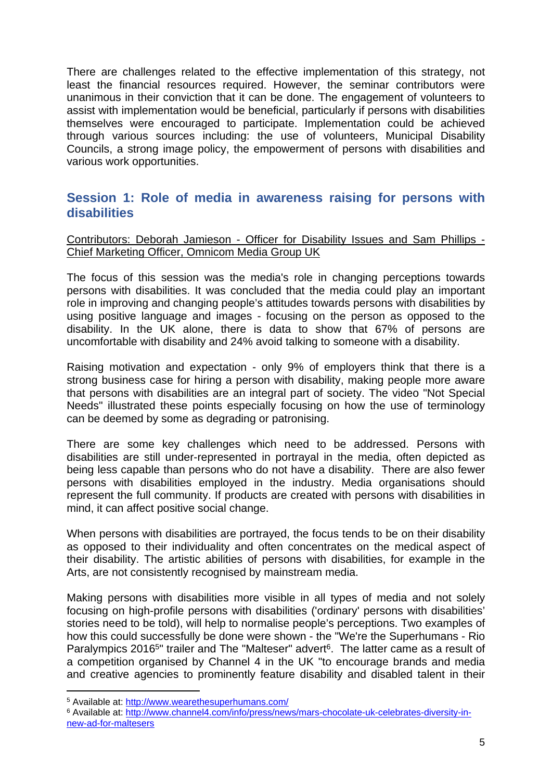There are challenges related to the effective implementation of this strategy, not least the financial resources required. However, the seminar contributors were unanimous in their conviction that it can be done. The engagement of volunteers to assist with implementation would be beneficial, particularly if persons with disabilities themselves were encouraged to participate. Implementation could be achieved through various sources including: the use of volunteers, Municipal Disability Councils, a strong image policy, the empowerment of persons with disabilities and various work opportunities.

# <span id="page-4-0"></span>**Session 1: Role of media in awareness raising for persons with disabilities**

Contributors: Deborah Jamieson - Officer for Disability Issues and Sam Phillips - Chief Marketing Officer, Omnicom Media Group UK

The focus of this session was the media's role in changing perceptions towards persons with disabilities. It was concluded that the media could play an important role in improving and changing people's attitudes towards persons with disabilities by using positive language and images - focusing on the person as opposed to the disability. In the UK alone, there is data to show that 67% of persons are uncomfortable with disability and 24% avoid talking to someone with a disability.

Raising motivation and expectation - only 9% of employers think that there is a strong business case for hiring a person with disability, making people more aware that persons with disabilities are an integral part of society. The video "Not Special Needs" illustrated these points especially focusing on how the use of terminology can be deemed by some as degrading or patronising.

There are some key challenges which need to be addressed. Persons with disabilities are still under-represented in portrayal in the media, often depicted as being less capable than persons who do not have a disability. There are also fewer persons with disabilities employed in the industry. Media organisations should represent the full community. If products are created with persons with disabilities in mind, it can affect positive social change.

When persons with disabilities are portrayed, the focus tends to be on their disability as opposed to their individuality and often concentrates on the medical aspect of their disability. The artistic abilities of persons with disabilities, for example in the Arts, are not consistently recognised by mainstream media.

Making persons with disabilities more visible in all types of media and not solely focusing on high-profile persons with disabilities ('ordinary' persons with disabilities' stories need to be told), will help to normalise people's perceptions. Two examples of how this could successfully be done were shown - the "We're the Superhumans - Rio Paralympics 2016<sup>5</sup>" trailer and The "Malteser" advert<sup>6</sup>. The latter came as a result of a competition organised by Channel 4 in the UK "to encourage brands and media and creative agencies to prominently feature disability and disabled talent in their

<sup>&</sup>lt;sup>5</sup> Available at: <http://www.wearethesuperhumans.com/>

<sup>6</sup> Available at: [http://www.channel4.com/info/press/news/mars-chocolate-uk-celebrates-diversity-in](http://www.channel4.com/info/press/news/mars-chocolate-uk-celebrates-diversity-in-new-ad-for-maltesers)[new-ad-for-maltesers](http://www.channel4.com/info/press/news/mars-chocolate-uk-celebrates-diversity-in-new-ad-for-maltesers)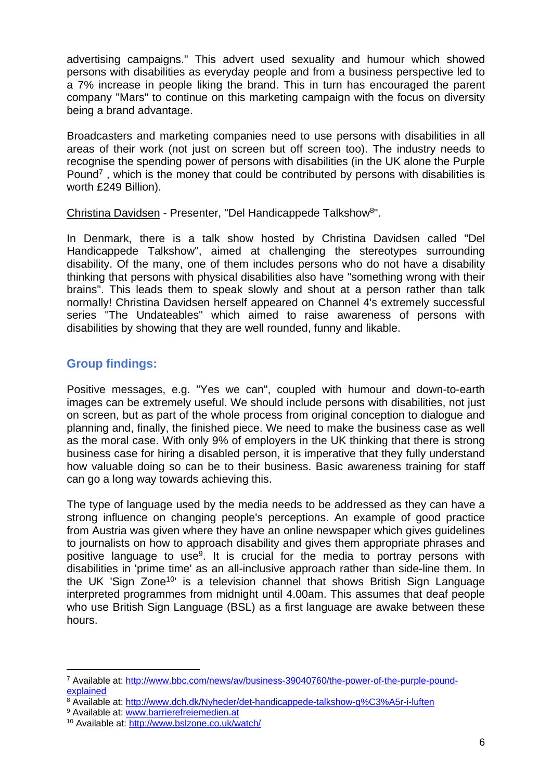advertising campaigns." This advert used sexuality and humour which showed persons with disabilities as everyday people and from a business perspective led to a 7% increase in people liking the brand. This in turn has encouraged the parent company "Mars" to continue on this marketing campaign with the focus on diversity being a brand advantage.

Broadcasters and marketing companies need to use persons with disabilities in all areas of their work (not just on screen but off screen too). The industry needs to recognise the spending power of persons with disabilities (in the UK alone the Purple Pound<sup>7</sup>, which is the money that could be contributed by persons with disabilities is worth £249 Billion).

Christina Davidsen - Presenter, "Del Handicappede Talkshow<sup>8</sup>".

In Denmark, there is a talk show hosted by Christina Davidsen called "Del Handicappede Talkshow", aimed at challenging the stereotypes surrounding disability. Of the many, one of them includes persons who do not have a disability thinking that persons with physical disabilities also have "something wrong with their brains". This leads them to speak slowly and shout at a person rather than talk normally! Christina Davidsen herself appeared on Channel 4's extremely successful series "The Undateables" which aimed to raise awareness of persons with disabilities by showing that they are well rounded, funny and likable.

# <span id="page-5-0"></span>**Group findings:**

Positive messages, e.g. "Yes we can", coupled with humour and down-to-earth images can be extremely useful. We should include persons with disabilities, not just on screen, but as part of the whole process from original conception to dialogue and planning and, finally, the finished piece. We need to make the business case as well as the moral case. With only 9% of employers in the UK thinking that there is strong business case for hiring a disabled person, it is imperative that they fully understand how valuable doing so can be to their business. Basic awareness training for staff can go a long way towards achieving this.

The type of language used by the media needs to be addressed as they can have a strong influence on changing people's perceptions. An example of good practice from Austria was given where they have an online newspaper which gives guidelines to journalists on how to approach disability and gives them appropriate phrases and positive language to use<sup>9</sup>. It is crucial for the media to portray persons with disabilities in 'prime time' as an all-inclusive approach rather than side-line them. In the UK 'Sign Zone<sup>10</sup>' is a television channel that shows British Sign Language interpreted programmes from midnight until 4.00am. This assumes that deaf people who use British Sign Language (BSL) as a first language are awake between these hours.

<sup>&</sup>lt;sup>7</sup> Available at: [http://www.bbc.com/news/av/business-39040760/the-power-of-the-purple-pound](http://www.bbc.com/news/av/business-39040760/the-power-of-the-purple-pound-explained)[explained](http://www.bbc.com/news/av/business-39040760/the-power-of-the-purple-pound-explained)

<sup>&</sup>lt;sup>8</sup> Available at: <http://www.dch.dk/Nyheder/det-handicappede-talkshow-g%C3%A5r-i-luften>

<sup>&</sup>lt;sup>9</sup> Available at: [www.barrierefreiemedien.at](http://www.barrierefreiemedien.at)

<sup>10</sup> Available at:<http://www.bslzone.co.uk/watch/>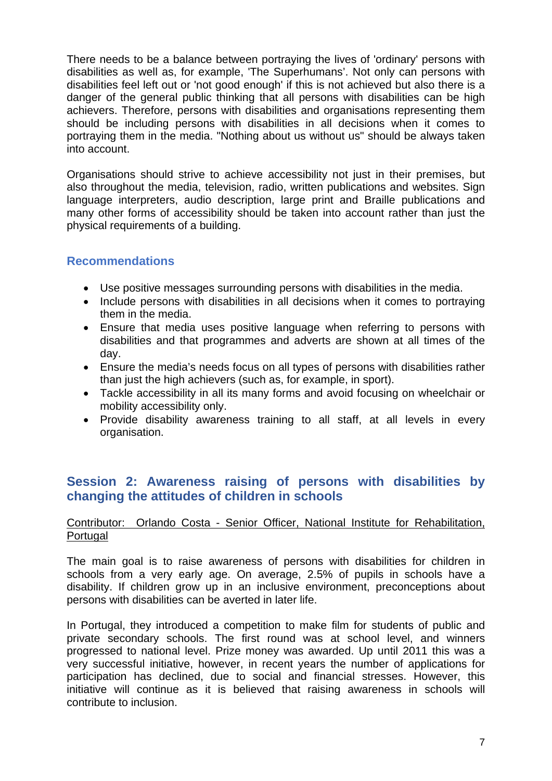There needs to be a balance between portraying the lives of 'ordinary' persons with disabilities as well as, for example, 'The Superhumans'. Not only can persons with disabilities feel left out or 'not good enough' if this is not achieved but also there is a danger of the general public thinking that all persons with disabilities can be high achievers. Therefore, persons with disabilities and organisations representing them should be including persons with disabilities in all decisions when it comes to portraying them in the media. "Nothing about us without us" should be always taken into account.

Organisations should strive to achieve accessibility not just in their premises, but also throughout the media, television, radio, written publications and websites. Sign language interpreters, audio description, large print and Braille publications and many other forms of accessibility should be taken into account rather than just the physical requirements of a building.

## <span id="page-6-0"></span>**Recommendations**

- Use positive messages surrounding persons with disabilities in the media.
- Include persons with disabilities in all decisions when it comes to portraying them in the media.
- Ensure that media uses positive language when referring to persons with disabilities and that programmes and adverts are shown at all times of the day.
- Ensure the media's needs focus on all types of persons with disabilities rather than just the high achievers (such as, for example, in sport).
- Tackle accessibility in all its many forms and avoid focusing on wheelchair or mobility accessibility only.
- Provide disability awareness training to all staff, at all levels in every organisation.

# <span id="page-6-1"></span>**Session 2: Awareness raising of persons with disabilities by changing the attitudes of children in schools**

## Contributor: Orlando Costa - Senior Officer, National Institute for Rehabilitation, Portugal

The main goal is to raise awareness of persons with disabilities for children in schools from a very early age. On average, 2.5% of pupils in schools have a disability. If children grow up in an inclusive environment, preconceptions about persons with disabilities can be averted in later life.

In Portugal, they introduced a competition to make film for students of public and private secondary schools. The first round was at school level, and winners progressed to national level. Prize money was awarded. Up until 2011 this was a very successful initiative, however, in recent years the number of applications for participation has declined, due to social and financial stresses. However, this initiative will continue as it is believed that raising awareness in schools will contribute to inclusion.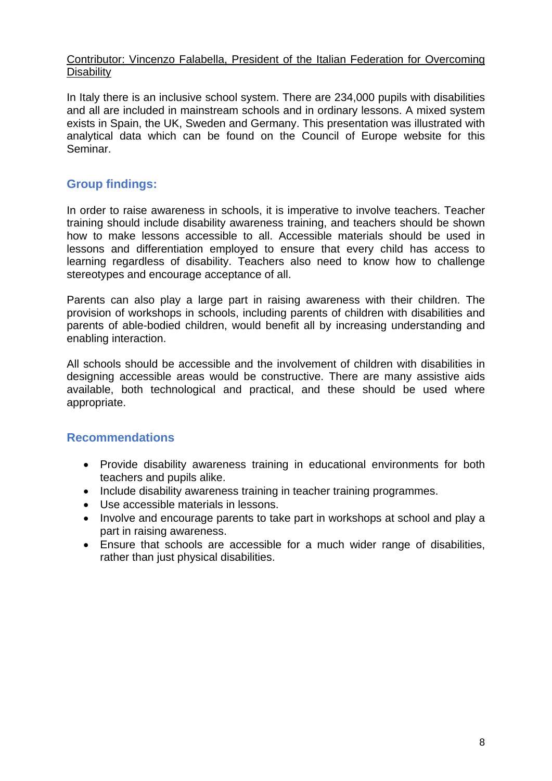## Contributor: Vincenzo Falabella, President of the Italian Federation for Overcoming **Disability**

In Italy there is an inclusive school system. There are 234,000 pupils with disabilities and all are included in mainstream schools and in ordinary lessons. A mixed system exists in Spain, the UK, Sweden and Germany. This presentation was illustrated with analytical data which can be found on the Council of Europe website for this Seminar.

# <span id="page-7-0"></span>**Group findings:**

In order to raise awareness in schools, it is imperative to involve teachers. Teacher training should include disability awareness training, and teachers should be shown how to make lessons accessible to all. Accessible materials should be used in lessons and differentiation employed to ensure that every child has access to learning regardless of disability. Teachers also need to know how to challenge stereotypes and encourage acceptance of all.

Parents can also play a large part in raising awareness with their children. The provision of workshops in schools, including parents of children with disabilities and parents of able-bodied children, would benefit all by increasing understanding and enabling interaction.

All schools should be accessible and the involvement of children with disabilities in designing accessible areas would be constructive. There are many assistive aids available, both technological and practical, and these should be used where appropriate.

## <span id="page-7-1"></span>**Recommendations**

- Provide disability awareness training in educational environments for both teachers and pupils alike.
- Include disability awareness training in teacher training programmes.
- Use accessible materials in lessons.
- Involve and encourage parents to take part in workshops at school and play a part in raising awareness.
- Ensure that schools are accessible for a much wider range of disabilities, rather than just physical disabilities.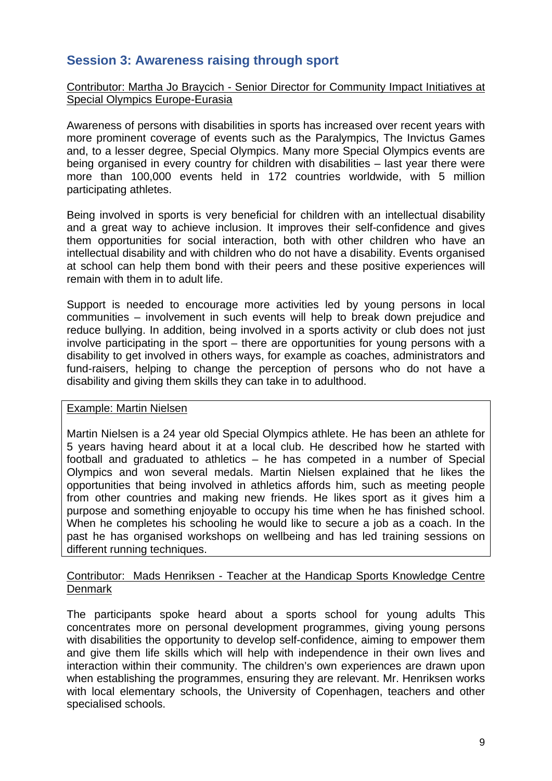# <span id="page-8-0"></span>**Session 3: Awareness raising through sport**

## Contributor: Martha Jo Braycich - Senior Director for Community Impact Initiatives at Special Olympics Europe-Eurasia

Awareness of persons with disabilities in sports has increased over recent years with more prominent coverage of events such as the Paralympics, The Invictus Games and, to a lesser degree, Special Olympics. Many more Special Olympics events are being organised in every country for children with disabilities – last year there were more than 100,000 events held in 172 countries worldwide, with 5 million participating athletes.

Being involved in sports is very beneficial for children with an intellectual disability and a great way to achieve inclusion. It improves their self-confidence and gives them opportunities for social interaction, both with other children who have an intellectual disability and with children who do not have a disability. Events organised at school can help them bond with their peers and these positive experiences will remain with them in to adult life.

Support is needed to encourage more activities led by young persons in local communities – involvement in such events will help to break down prejudice and reduce bullying. In addition, being involved in a sports activity or club does not just involve participating in the sport – there are opportunities for young persons with a disability to get involved in others ways, for example as coaches, administrators and fund-raisers, helping to change the perception of persons who do not have a disability and giving them skills they can take in to adulthood.

#### Example: Martin Nielsen

Martin Nielsen is a 24 year old Special Olympics athlete. He has been an athlete for 5 years having heard about it at a local club. He described how he started with football and graduated to athletics – he has competed in a number of Special Olympics and won several medals. Martin Nielsen explained that he likes the opportunities that being involved in athletics affords him, such as meeting people from other countries and making new friends. He likes sport as it gives him a purpose and something enjoyable to occupy his time when he has finished school. When he completes his schooling he would like to secure a job as a coach. In the past he has organised workshops on wellbeing and has led training sessions on different running techniques.

## Contributor: Mads Henriksen - Teacher at the Handicap Sports Knowledge Centre **Denmark**

The participants spoke heard about a sports school for young adults This concentrates more on personal development programmes, giving young persons with disabilities the opportunity to develop self-confidence, aiming to empower them and give them life skills which will help with independence in their own lives and interaction within their community. The children's own experiences are drawn upon when establishing the programmes, ensuring they are relevant. Mr. Henriksen works with local elementary schools, the University of Copenhagen, teachers and other specialised schools.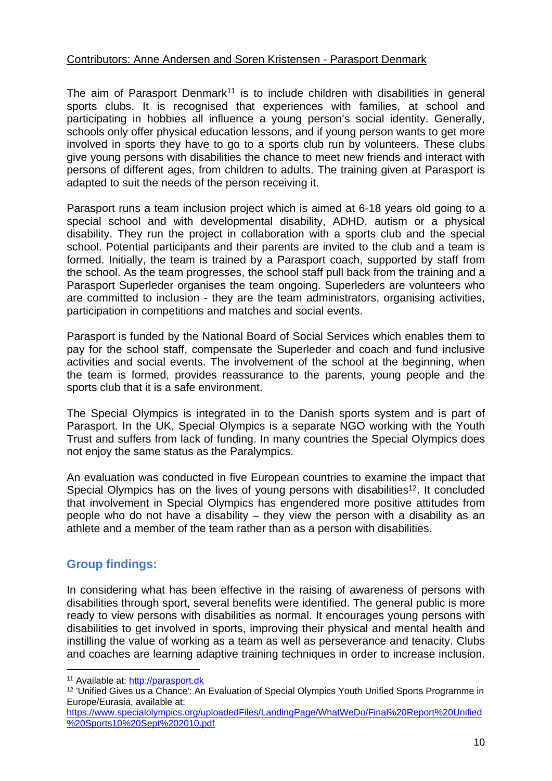## Contributors: Anne Andersen and Soren Kristensen - Parasport Denmark

The aim of Parasport Denmark<sup>11</sup> is to include children with disabilities in general sports clubs. It is recognised that experiences with families, at school and participating in hobbies all influence a young person's social identity. Generally, schools only offer physical education lessons, and if young person wants to get more involved in sports they have to go to a sports club run by volunteers. These clubs give young persons with disabilities the chance to meet new friends and interact with persons of different ages, from children to adults. The training given at Parasport is adapted to suit the needs of the person receiving it.

Parasport runs a team inclusion project which is aimed at 6-18 years old going to a special school and with developmental disability, ADHD, autism or a physical disability. They run the project in collaboration with a sports club and the special school. Potential participants and their parents are invited to the club and a team is formed. Initially, the team is trained by a Parasport coach, supported by staff from the school. As the team progresses, the school staff pull back from the training and a Parasport Superleder organises the team ongoing. Superleders are volunteers who are committed to inclusion - they are the team administrators, organising activities, participation in competitions and matches and social events.

Parasport is funded by the National Board of Social Services which enables them to pay for the school staff, compensate the Superleder and coach and fund inclusive activities and social events. The involvement of the school at the beginning, when the team is formed, provides reassurance to the parents, young people and the sports club that it is a safe environment.

The Special Olympics is integrated in to the Danish sports system and is part of Parasport. In the UK, Special Olympics is a separate NGO working with the Youth Trust and suffers from lack of funding. In many countries the Special Olympics does not enjoy the same status as the Paralympics.

An evaluation was conducted in five European countries to examine the impact that Special Olympics has on the lives of young persons with disabilities<sup>12</sup>. It concluded that involvement in Special Olympics has engendered more positive attitudes from people who do not have a disability – they view the person with a disability as an athlete and a member of the team rather than as a person with disabilities.

# <span id="page-9-0"></span>**Group findings:**

In considering what has been effective in the raising of awareness of persons with disabilities through sport, several benefits were identified. The general public is more ready to view persons with disabilities as normal. It encourages young persons with disabilities to get involved in sports, improving their physical and mental health and instilling the value of working as a team as well as perseverance and tenacity. Clubs and coaches are learning adaptive training techniques in order to increase inclusion.

<sup>11</sup> Available at:<http://parasport.dk>

<sup>12</sup> 'Unified Gives us a Chance': An Evaluation of Special Olympics Youth Unified Sports Programme in Europe/Eurasia, available at:

[https://www.specialolympics.org/uploadedFiles/LandingPage/WhatWeDo/Final%20Report%20Unified](https://www.specialolympics.org/uploadedFiles/LandingPage/WhatWeDo/Final%20Report%20Unified%20Sports10%20Sept%202010.pdf) [%20Sports10%20Sept%202010.pdf](https://www.specialolympics.org/uploadedFiles/LandingPage/WhatWeDo/Final%20Report%20Unified%20Sports10%20Sept%202010.pdf)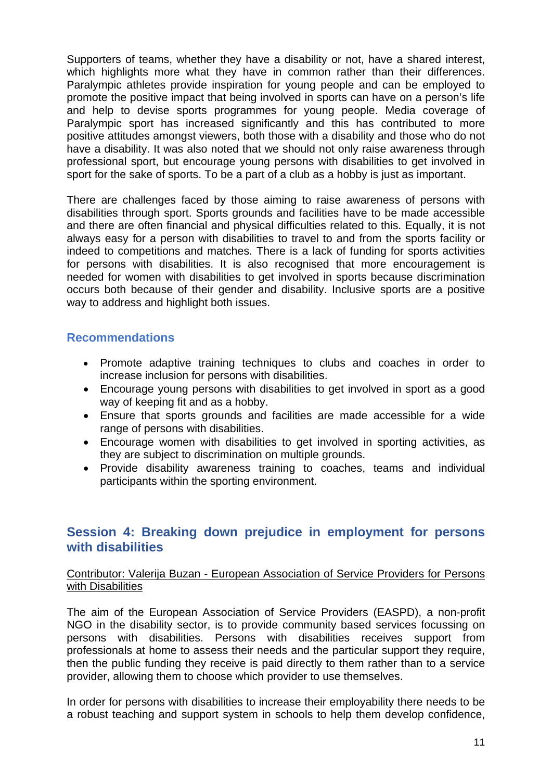Supporters of teams, whether they have a disability or not, have a shared interest, which highlights more what they have in common rather than their differences. Paralympic athletes provide inspiration for young people and can be employed to promote the positive impact that being involved in sports can have on a person's life and help to devise sports programmes for young people. Media coverage of Paralympic sport has increased significantly and this has contributed to more positive attitudes amongst viewers, both those with a disability and those who do not have a disability. It was also noted that we should not only raise awareness through professional sport, but encourage young persons with disabilities to get involved in sport for the sake of sports. To be a part of a club as a hobby is just as important.

There are challenges faced by those aiming to raise awareness of persons with disabilities through sport. Sports grounds and facilities have to be made accessible and there are often financial and physical difficulties related to this. Equally, it is not always easy for a person with disabilities to travel to and from the sports facility or indeed to competitions and matches. There is a lack of funding for sports activities for persons with disabilities. It is also recognised that more encouragement is needed for women with disabilities to get involved in sports because discrimination occurs both because of their gender and disability. Inclusive sports are a positive way to address and highlight both issues.

## <span id="page-10-0"></span>**Recommendations**

- Promote adaptive training techniques to clubs and coaches in order to increase inclusion for persons with disabilities.
- Encourage young persons with disabilities to get involved in sport as a good way of keeping fit and as a hobby.
- Ensure that sports grounds and facilities are made accessible for a wide range of persons with disabilities.
- Encourage women with disabilities to get involved in sporting activities, as they are subject to discrimination on multiple grounds.
- Provide disability awareness training to coaches, teams and individual participants within the sporting environment.

# <span id="page-10-1"></span>**Session 4: Breaking down prejudice in employment for persons with disabilities**

## Contributor: Valerija Buzan - European Association of Service Providers for Persons with Disabilities

The aim of the European Association of Service Providers (EASPD), a non-profit NGO in the disability sector, is to provide community based services focussing on persons with disabilities. Persons with disabilities receives support from professionals at home to assess their needs and the particular support they require, then the public funding they receive is paid directly to them rather than to a service provider, allowing them to choose which provider to use themselves.

In order for persons with disabilities to increase their employability there needs to be a robust teaching and support system in schools to help them develop confidence,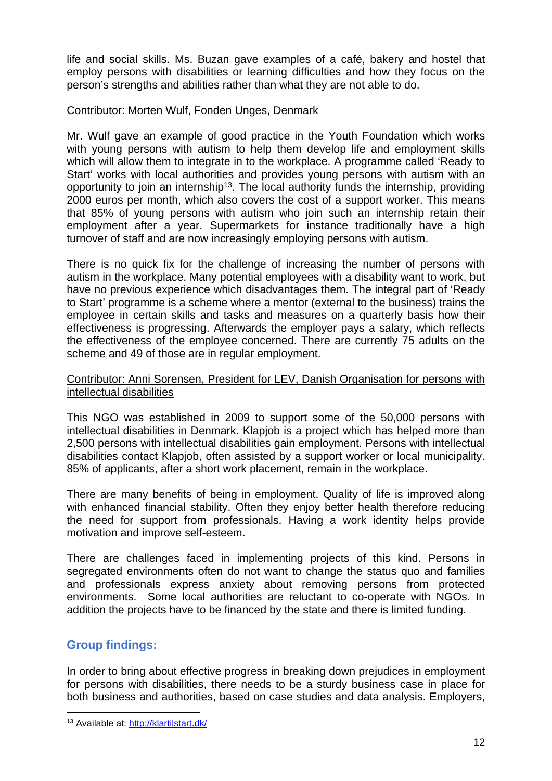life and social skills. Ms. Buzan gave examples of a café, bakery and hostel that employ persons with disabilities or learning difficulties and how they focus on the person's strengths and abilities rather than what they are not able to do.

## Contributor: Morten Wulf, Fonden Unges, Denmark

Mr. Wulf gave an example of good practice in the Youth Foundation which works with young persons with autism to help them develop life and employment skills which will allow them to integrate in to the workplace. A programme called 'Ready to Start' works with local authorities and provides young persons with autism with an opportunity to join an internship<sup>13</sup>. The local authority funds the internship, providing 2000 euros per month, which also covers the cost of a support worker. This means that 85% of young persons with autism who join such an internship retain their employment after a year. Supermarkets for instance traditionally have a high turnover of staff and are now increasingly employing persons with autism.

There is no quick fix for the challenge of increasing the number of persons with autism in the workplace. Many potential employees with a disability want to work, but have no previous experience which disadvantages them. The integral part of 'Ready to Start' programme is a scheme where a mentor (external to the business) trains the employee in certain skills and tasks and measures on a quarterly basis how their effectiveness is progressing. Afterwards the employer pays a salary, which reflects the effectiveness of the employee concerned. There are currently 75 adults on the scheme and 49 of those are in regular employment.

### Contributor: Anni Sorensen, President for LEV, Danish Organisation for persons with intellectual disabilities

This NGO was established in 2009 to support some of the 50,000 persons with intellectual disabilities in Denmark. Klapjob is a project which has helped more than 2,500 persons with intellectual disabilities gain employment. Persons with intellectual disabilities contact Klapjob, often assisted by a support worker or local municipality. 85% of applicants, after a short work placement, remain in the workplace.

There are many benefits of being in employment. Quality of life is improved along with enhanced financial stability. Often they enjoy better health therefore reducing the need for support from professionals. Having a work identity helps provide motivation and improve self-esteem.

There are challenges faced in implementing projects of this kind. Persons in segregated environments often do not want to change the status quo and families and professionals express anxiety about removing persons from protected environments. Some local authorities are reluctant to co-operate with NGOs. In addition the projects have to be financed by the state and there is limited funding.

# <span id="page-11-0"></span>**Group findings:**

In order to bring about effective progress in breaking down prejudices in employment for persons with disabilities, there needs to be a sturdy business case in place for both business and authorities, based on case studies and data analysis. Employers,

<sup>13</sup> Available at:<http://klartilstart.dk/>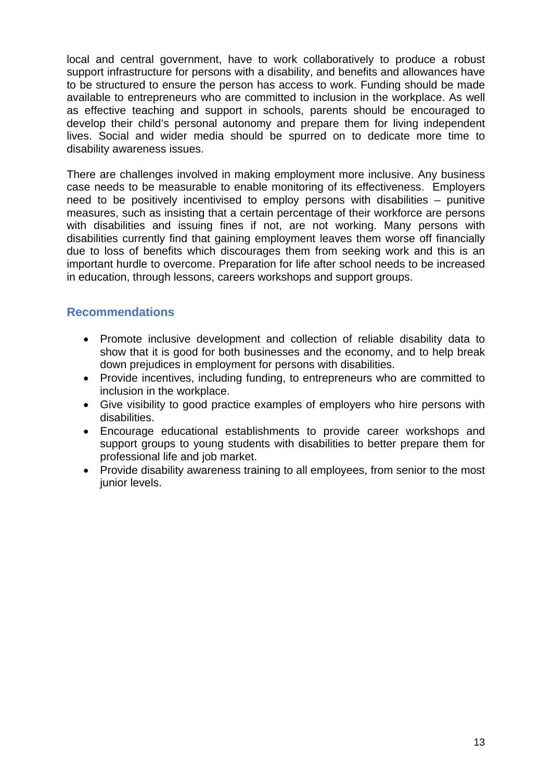local and central government, have to work collaboratively to produce a robust support infrastructure for persons with a disability, and benefits and allowances have to be structured to ensure the person has access to work. Funding should be made available to entrepreneurs who are committed to inclusion in the workplace. As well as effective teaching and support in schools, parents should be encouraged to develop their child's personal autonomy and prepare them for living independent lives. Social and wider media should be spurred on to dedicate more time to disability awareness issues.

There are challenges involved in making employment more inclusive. Any business case needs to be measurable to enable monitoring of its effectiveness. Employers need to be positively incentivised to employ persons with disabilities – punitive measures, such as insisting that a certain percentage of their workforce are persons with disabilities and issuing fines if not, are not working. Many persons with disabilities currently find that gaining employment leaves them worse off financially due to loss of benefits which discourages them from seeking work and this is an important hurdle to overcome. Preparation for life after school needs to be increased in education, through lessons, careers workshops and support groups.

## <span id="page-12-0"></span>**Recommendations**

- Promote inclusive development and collection of reliable disability data to show that it is good for both businesses and the economy, and to help break down prejudices in employment for persons with disabilities.
- Provide incentives, including funding, to entrepreneurs who are committed to inclusion in the workplace.
- Give visibility to good practice examples of employers who hire persons with disabilities.
- Encourage educational establishments to provide career workshops and support groups to young students with disabilities to better prepare them for professional life and job market.
- Provide disability awareness training to all employees, from senior to the most junior levels.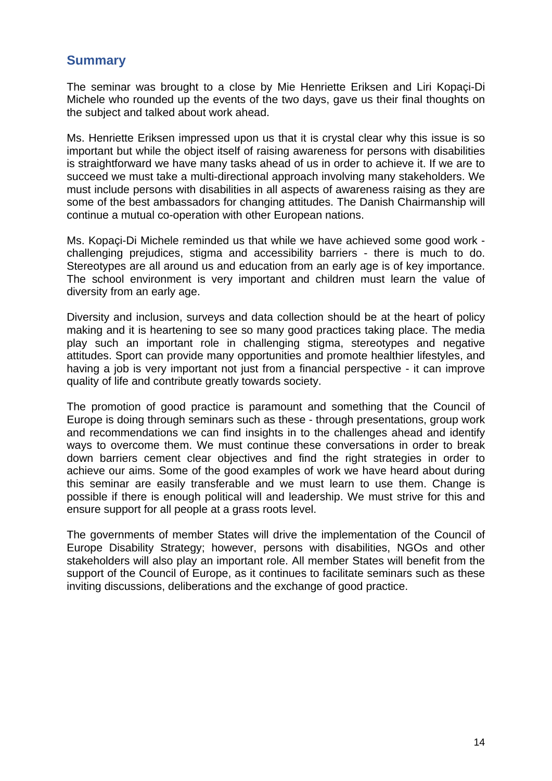# <span id="page-13-0"></span>**Summary**

The seminar was brought to a close by Mie Henriette Eriksen and Liri Kopaçi-Di Michele who rounded up the events of the two days, gave us their final thoughts on the subject and talked about work ahead.

Ms. Henriette Eriksen impressed upon us that it is crystal clear why this issue is so important but while the object itself of raising awareness for persons with disabilities is straightforward we have many tasks ahead of us in order to achieve it. If we are to succeed we must take a multi-directional approach involving many stakeholders. We must include persons with disabilities in all aspects of awareness raising as they are some of the best ambassadors for changing attitudes. The Danish Chairmanship will continue a mutual co-operation with other European nations.

Ms. Kopaçi-Di Michele reminded us that while we have achieved some good work challenging prejudices, stigma and accessibility barriers - there is much to do. Stereotypes are all around us and education from an early age is of key importance. The school environment is very important and children must learn the value of diversity from an early age.

Diversity and inclusion, surveys and data collection should be at the heart of policy making and it is heartening to see so many good practices taking place. The media play such an important role in challenging stigma, stereotypes and negative attitudes. Sport can provide many opportunities and promote healthier lifestyles, and having a job is very important not just from a financial perspective - it can improve quality of life and contribute greatly towards society.

The promotion of good practice is paramount and something that the Council of Europe is doing through seminars such as these - through presentations, group work and recommendations we can find insights in to the challenges ahead and identify ways to overcome them. We must continue these conversations in order to break down barriers cement clear objectives and find the right strategies in order to achieve our aims. Some of the good examples of work we have heard about during this seminar are easily transferable and we must learn to use them. Change is possible if there is enough political will and leadership. We must strive for this and ensure support for all people at a grass roots level.

The governments of member States will drive the implementation of the Council of Europe Disability Strategy; however, persons with disabilities, NGOs and other stakeholders will also play an important role. All member States will benefit from the support of the Council of Europe, as it continues to facilitate seminars such as these inviting discussions, deliberations and the exchange of good practice.